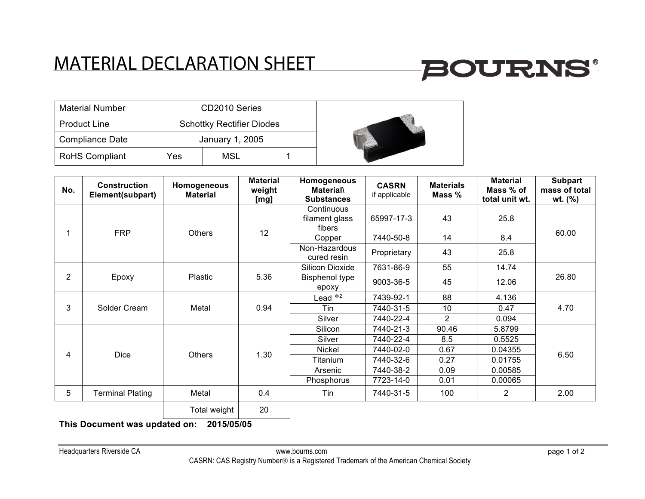## MATERIAL DECLARATION SHEET

## **BOURNS®**

| <b>Material Number</b> |     | CD2010 Series                    |  |  |
|------------------------|-----|----------------------------------|--|--|
| <b>Product Line</b>    |     | <b>Schottky Rectifier Diodes</b> |  |  |
| <b>Compliance Date</b> |     | January 1, 2005                  |  |  |
| <b>RoHS Compliant</b>  | Yes | MSL                              |  |  |

| No. | <b>Construction</b><br>Element(subpart) | Homogeneous<br><b>Material</b> | <b>Material</b><br>weight<br>[mg] | Homogeneous<br><b>Material</b><br><b>Substances</b> | <b>CASRN</b><br>if applicable | <b>Materials</b><br>Mass % | <b>Material</b><br>Mass % of<br>total unit wt. | <b>Subpart</b><br>mass of total<br>wt. (%) |
|-----|-----------------------------------------|--------------------------------|-----------------------------------|-----------------------------------------------------|-------------------------------|----------------------------|------------------------------------------------|--------------------------------------------|
|     | <b>FRP</b>                              | <b>Others</b>                  | 12                                | Continuous<br>filament glass<br>fibers              | 65997-17-3                    | 43                         | 25.8                                           | 60.00                                      |
|     |                                         |                                |                                   | Copper                                              | 7440-50-8                     | 14                         | 8.4                                            |                                            |
|     |                                         |                                |                                   | Non-Hazardous<br>cured resin                        | Proprietary                   | 43                         | 25.8                                           |                                            |
| 2   | Epoxy                                   | Plastic                        | 5.36                              | Silicon Dioxide                                     | 7631-86-9                     | 55                         | 14.74                                          | 26.80                                      |
|     |                                         |                                |                                   | <b>Bisphenol type</b><br>epoxy                      | 9003-36-5                     | 45                         | 12.06                                          |                                            |
| 3   | Solder Cream                            | Metal                          | 0.94                              | Lead $*$ <sup>2</sup>                               | 7439-92-1                     | 88                         | 4.136                                          | 4.70                                       |
|     |                                         |                                |                                   | Tin                                                 | 7440-31-5                     | 10                         | 0.47                                           |                                            |
|     |                                         |                                |                                   | Silver                                              | 7440-22-4                     | $\overline{2}$             | 0.094                                          |                                            |
| 4   | <b>Dice</b>                             | <b>Others</b>                  | 1.30                              | Silicon                                             | 7440-21-3                     | 90.46                      | 5.8799                                         | 6.50                                       |
|     |                                         |                                |                                   | Silver                                              | 7440-22-4                     | 8.5                        | 0.5525                                         |                                            |
|     |                                         |                                |                                   | <b>Nickel</b>                                       | 7440-02-0                     | 0.67                       | 0.04355                                        |                                            |
|     |                                         |                                |                                   | Titanium                                            | 7440-32-6                     | 0.27                       | 0.01755                                        |                                            |
|     |                                         |                                |                                   | Arsenic                                             | 7440-38-2                     | 0.09                       | 0.00585                                        |                                            |
|     |                                         |                                |                                   | Phosphorus                                          | 7723-14-0                     | 0.01                       | 0.00065                                        |                                            |
| 5   | <b>Terminal Plating</b>                 | Metal                          | 0.4                               | Tin                                                 | 7440-31-5                     | 100                        | $\overline{2}$                                 | 2.00                                       |
|     |                                         | Total weight                   | 20                                |                                                     |                               |                            |                                                |                                            |

**This Document was updated on: 2015/05/05**